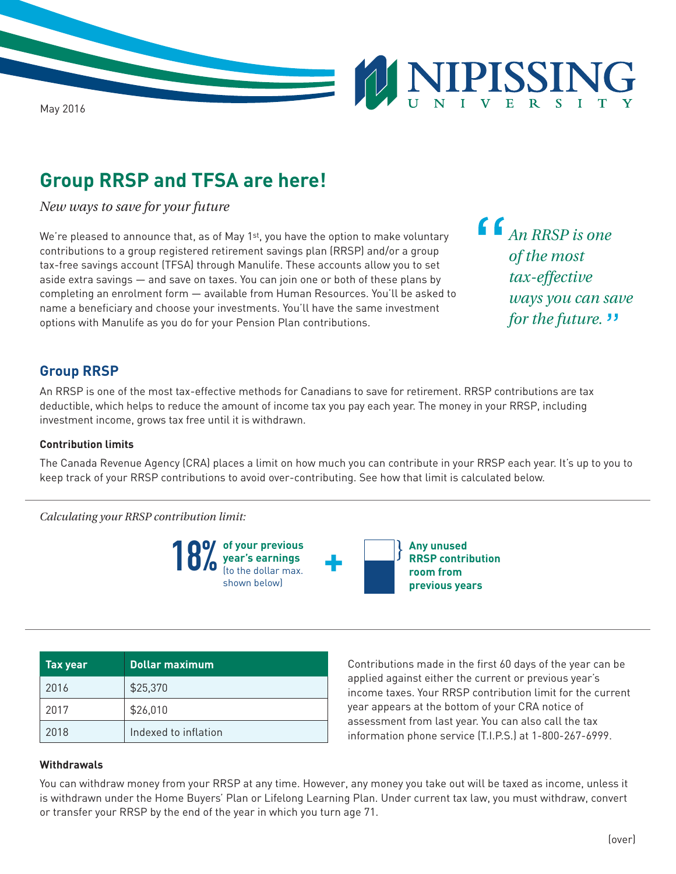

# **Group RRSP and TFSA are here!**

*New ways to save for your future*

We're pleased to announce that, as of May 1st, you have the option to make voluntary contributions to a group registered retirement savings plan (RRSP) and/or a group tax-free savings account (TFSA) through Manulife. These accounts allow you to set aside extra savings — and save on taxes. You can join one or both of these plans by completing an enrolment form — available from Human Resources. You'll be asked to name a beneficiary and choose your investments. You'll have the same investment options with Manulife as you do for your Pension Plan contributions.

*An RRSP is one of the most tax-effective ways you can save for the future.*"

### **Group RRSP**

An RRSP is one of the most tax-effective methods for Canadians to save for retirement. RRSP contributions are tax deductible, which helps to reduce the amount of income tax you pay each year. The money in your RRSP, including investment income, grows tax free until it is withdrawn.

#### **Contribution limits**

The Canada Revenue Agency (CRA) places a limit on how much you can contribute in your RRSP each year. It's up to you to keep track of your RRSP contributions to avoid over-contributing. See how that limit is calculated below.

*Calculating your RRSP contribution limit:*



| <b>Tax year</b> | Dollar maximum       |
|-----------------|----------------------|
| 2016            | \$25,370             |
| 2017            | \$26,010             |
| 2018            | Indexed to inflation |

Contributions made in the first 60 days of the year can be applied against either the current or previous year's income taxes. Your RRSP contribution limit for the current year appears at the bottom of your CRA notice of assessment from last year. You can also call the tax information phone service (T.I.P.S.) at 1-800-267-6999.

#### **Withdrawals**

You can withdraw money from your RRSP at any time. However, any money you take out will be taxed as income, unless it is withdrawn under the Home Buyers' Plan or Lifelong Learning Plan. Under current tax law, you must withdraw, convert or transfer your RRSP by the end of the year in which you turn age 71.